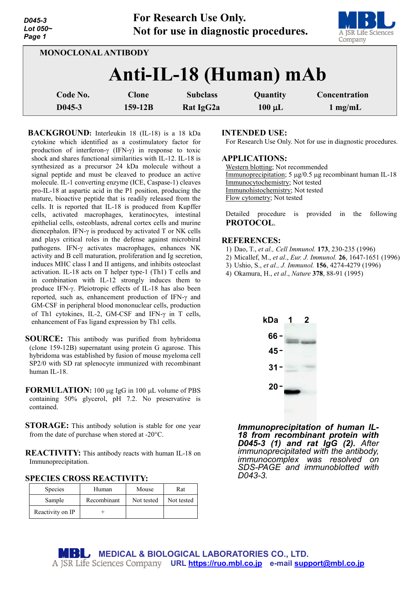| D045-3<br>Lot 050~<br>Page 1 |              | For Research Use Only.<br>Not for use in diagnostic procedures. |             | A JSR Life Sciences<br>Company |
|------------------------------|--------------|-----------------------------------------------------------------|-------------|--------------------------------|
| <b>MONOCLONAL ANTIBODY</b>   |              |                                                                 |             |                                |
|                              |              | Anti-IL-18 (Human) mAb                                          |             |                                |
| Code No.                     | <b>Clone</b> | <b>Subclass</b>                                                 | Quantity    | Concentration                  |
| $D045-3$                     | $159 - 12B$  | Rat IgG2a                                                       | $100 \mu L$ | $1 \text{ mg/mL}$              |

**For Research Use Only.**

**BACKGROUND:** Interleukin 18 (IL-18) is a 18 kDa cytokine which identified as a costimulatory factor for production of interferon-γ (IFN-γ) in response to toxic shock and shares functional similarities with IL-12. IL-18 is synthesized as a precursor 24 kDa molecule without a signal peptide and must be cleaved to produce an active molecule. IL-1 converting enzyme (ICE, Caspase-1) cleaves pro-IL-18 at aspartic acid in the P1 position, producing the mature, bioactive peptide that is readily released from the cells. It is reported that IL-18 is produced from Kupffer cells, activated macrophages, keratinocytes, intestinal epithelial cells, osteoblasts, adrenal cortex cells and murine diencephalon. IFN-γ is produced by activated T or NK cells and plays critical roles in the defense against microbiral pathogens. IFN-γ activates macrophages, enhances NK activity and B cell maturation, proliferation and Ig secretion, induces MHC class I and II antigens, and inhibits osteoclast activation. IL-18 acts on T helper type-1 (Th1) T cells and in combination with IL-12 strongly induces them to produce IFN-γ. Pleiotropic effects of IL-18 has also been reported, such as, enhancement production of IFN-γ and GM-CSF in peripheral blood mononuclear cells, production of Th1 cytokines, IL-2, GM-CSF and IFN-γ in T cells, enhancement of Fas ligand expression by Th1 cells.

**SOURCE:** This antibody was purified from hybridoma (clone 159-12B) supernatant using protein G agarose. This hybridoma was established by fusion of mouse myeloma cell SP2/0 with SD rat splenocyte immunized with recombinant human IL-18.

- **FORMULATION:** 100 ug IgG in 100 uL volume of PBS containing 50% glycerol, pH 7.2. No preservative is contained.
- **STORAGE:** This antibody solution is stable for one year from the date of purchase when stored at -20°C.

**REACTIVITY:** This antibody reacts with human IL-18 on Immunoprecipitation.

**SPECIES CROSS REACTIVITY:** 

| <b>Species</b>   | Human       | Mouse      | Rat        |
|------------------|-------------|------------|------------|
| Sample           | Recombinant | Not tested | Not tested |
| Reactivity on IP |             |            |            |

**INTENDED USE:**

For Research Use Only. Not for use in diagnostic procedures.

### **APPLICATIONS:**

Western blotting; Not recommended Immunoprecipitation; 5 µg/0.5 µg recombinant human IL-18 Immunocytochemistry; Not tested Immunohistochemistry; Not tested Flow cytometry; Not tested

Detailed procedure is provided in the following **PROTOCOL**.

### **REFERENCES:**

- 1) Dao, T., *et al., Cell Immunol.* **173**, 230-235 (1996)
- 2) Micallef, M., *et al*., *Eur. J. Immunol.* **26**, 1647-1651 (1996)
- 3) Ushio, S., *et al., J. Immunol.* **156**, 4274-4279 (1996)
- 4) Okamura, H., *et al*., *Nature* **378**, 88-91 (1995)



*Immunoprecipitation of human IL- <sup>18</sup> from recombinant protein with D045-3 (1) and rat IgG (2). After immunoprecipitated with the antibody, immunocomplex was resolved on SDS-PAGE and immunoblotted with D043-3.*